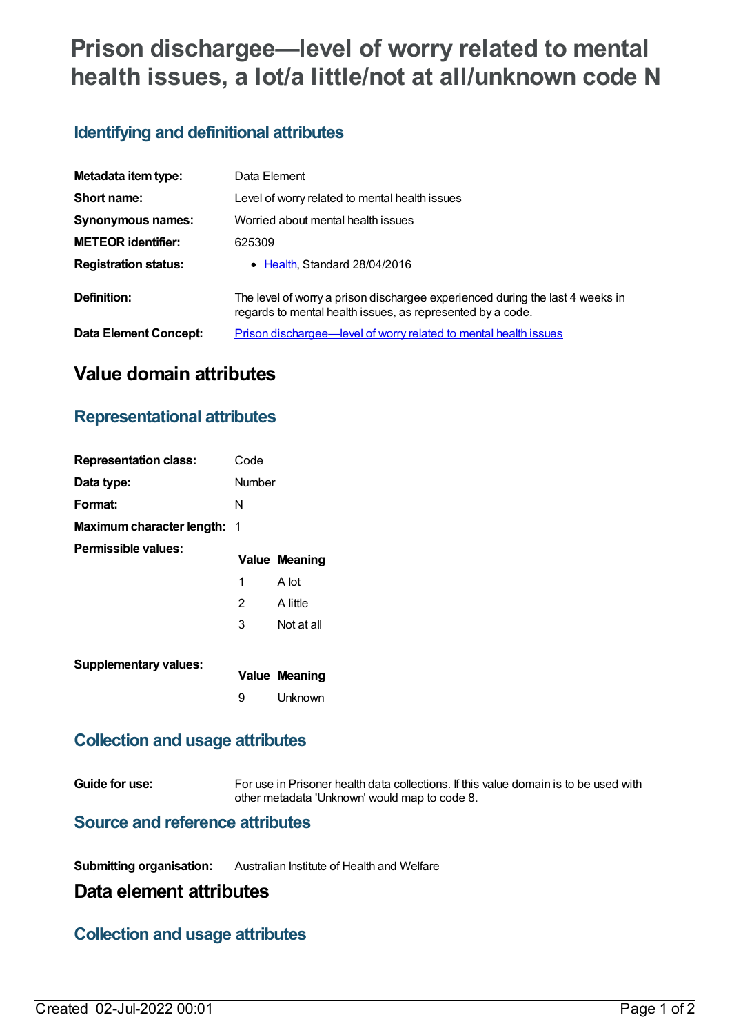# **Prison dischargee—level of worry related to mental health issues, a lot/a little/not at all/unknown code N**

# **Identifying and definitional attributes**

| Metadata item type:         | Data Element                                                                                                                                |
|-----------------------------|---------------------------------------------------------------------------------------------------------------------------------------------|
| Short name:                 | Level of worry related to mental health issues                                                                                              |
| <b>Synonymous names:</b>    | Worried about mental health issues                                                                                                          |
| <b>METEOR identifier:</b>   | 625309                                                                                                                                      |
| <b>Registration status:</b> | • Health, Standard 28/04/2016                                                                                                               |
| Definition:                 | The level of worry a prison dischargee experienced during the last 4 weeks in<br>regards to mental health issues, as represented by a code. |
| Data Element Concept:       | Prison dischargee—level of worry related to mental health issues                                                                            |

# **Value domain attributes**

### **Representational attributes**

| <b>Representation class:</b>       | Code   |                      |
|------------------------------------|--------|----------------------|
| Data type:                         | Number |                      |
| Format:                            | N      |                      |
| <b>Maximum character length: 1</b> |        |                      |
| Permissible values:                |        | <b>Value Meaning</b> |
|                                    | 1      | A lot                |
|                                    | 2      | A little             |
|                                    | 3      | Not at all           |
| <b>Supplementary values:</b>       |        | <b>Value Meaning</b> |
|                                    | 9      | Unknown              |

#### **Collection and usage attributes**

**Guide for use:** For use in Prisoner health data collections. If this value domain is to be used with other metadata 'Unknown' would map to code 8.

#### **Source and reference attributes**

**Submitting organisation:** Australian Institute of Health and Welfare

# **Data element attributes**

#### **Collection and usage attributes**